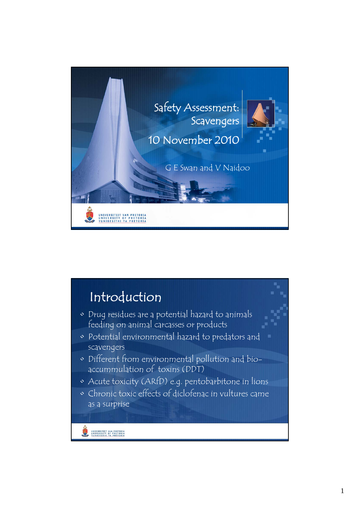

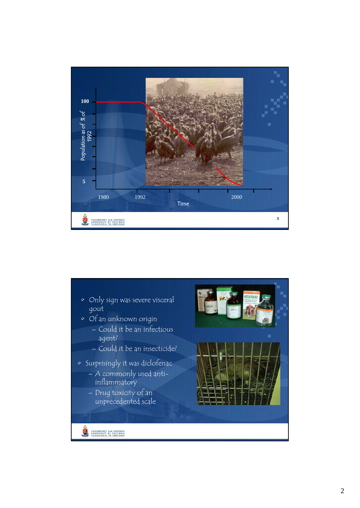

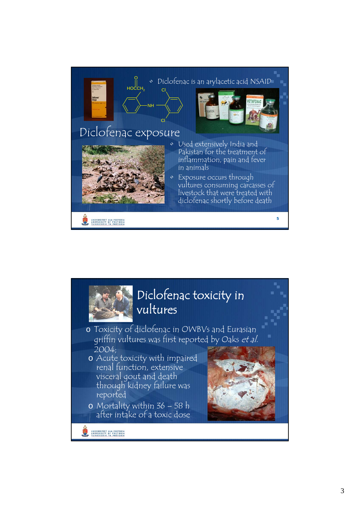

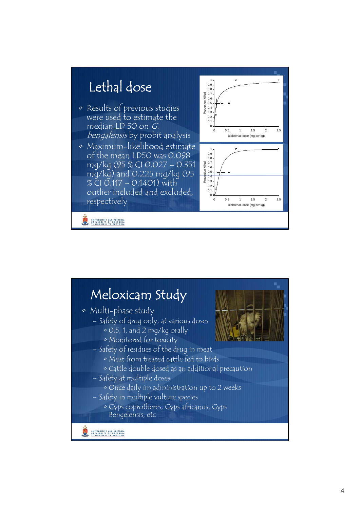

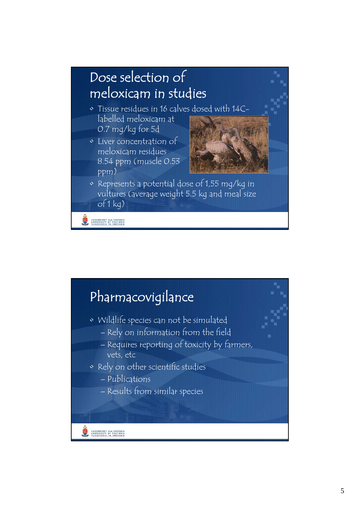